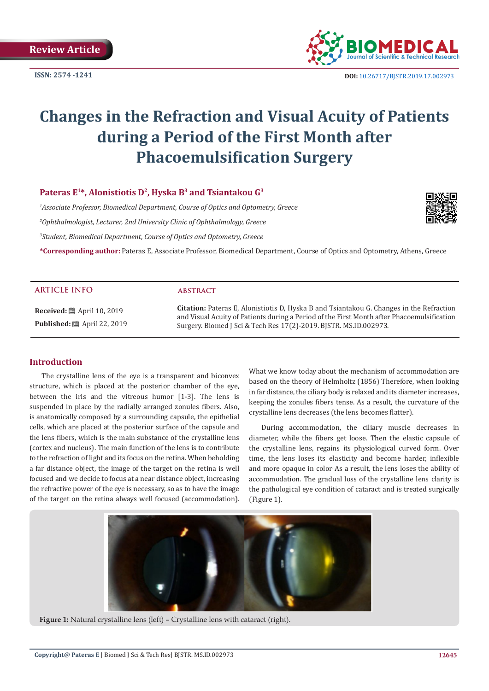**ISSN: 2574 -1241**



 **DOI:** 10.26717/BJSTR.2019.17.002973

# **Changes in the Refraction and Visual Acuity of Patients during a Period of the First Month after Phacoemulsification Surgery**

# Pateras E<sup>1\*</sup>, Alonistiotis D<sup>2</sup>, Hyska B<sup>3</sup> and Tsiantakou G<sup>3</sup>

 *Associate Professor, Biomedical Department, Course of Optics and Optometry, Greece Ophthalmologist, Lecturer, 2nd University Clinic of Ophthalmology, Greece Student, Biomedical Department, Course of Optics and Optometry, Greece* **\*Corresponding author:** Pateras E, Associate Professor, Biomedical Department, Course of Optics and Optometry, Athens, Greece



**Received:** ■ April 10, 2019 **Published:** ■ April 22, 2019

#### **ARTICLE INFO abstract**

**Citation:** Pateras E, Alonistiotis D, Hyska B and Tsiantakou G. Changes in the Refraction and Visual Acuity of Patients during a Period of the First Month after Phacoemulsification Surgery. Biomed J Sci & Tech Res 17(2)-2019. BJSTR. MS.ID.002973.

### **Introduction**

The crystalline lens of the eye is a transparent and biconvex structure, which is placed at the posterior chamber of the eye, between the iris and the vitreous humor [1-3]. The lens is suspended in place by the radially arranged zonules fibers. Also, is anatomically composed by a surrounding capsule, the epithelial cells, which are placed at the posterior surface of the capsule and the lens fibers, which is the main substance of the crystalline lens (cortex and nucleus). The main function of the lens is to contribute to the refraction of light and its focus on the retina. When beholding a far distance object, the image of the target on the retina is well focused and we decide to focus at a near distance object, increasing the refractive power of the eye is necessary, so as to have the image of the target on the retina always well focused (accommodation).

What we know today about the mechanism of accommodation are based on the theory of Helmholtz (1856) Therefore, when looking in far distance, the ciliary body is relaxed and its diameter increases, keeping the zonules fibers tense. As a result, the curvature of the crystalline lens decreases (the lens becomes flatter).

During accommodation, the ciliary muscle decreases in diameter, while the fibers get loose. Then the elastic capsule of the crystalline lens, regains its physiological curved form. Over time, the lens loses its elasticity and become harder, inflexible and more opaque in color**.** As a result, the lens loses the ability of accommodation. The gradual loss of the crystalline lens clarity is the pathological eye condition of cataract and is treated surgically (Figure 1).



**Figure 1:** Natural crystalline lens (left) – Crystalline lens with cataract (right).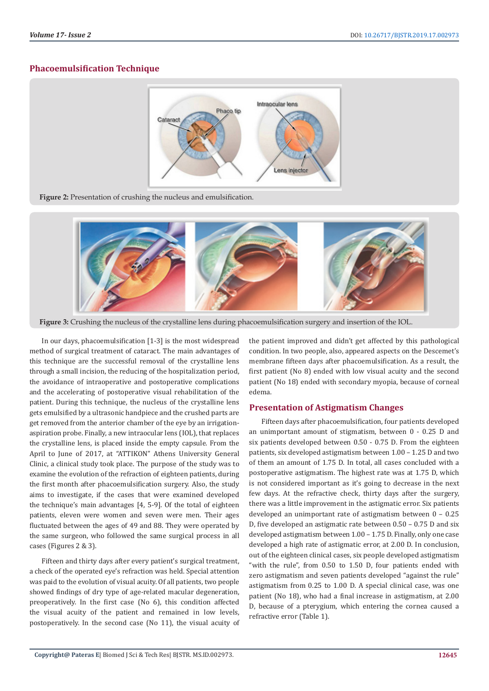### **Phacoemulsification Technique**







**Figure 3:** Crushing the nucleus of the crystalline lens during phacoemulsification surgery and insertion of the IOL.

In our days, phacoemulsification [1-3] is the most widespread method of surgical treatment of cataract. The main advantages of this technique are the successful removal of the crystalline lens through a small incision, the reducing of the hospitalization period, the avoidance of intraoperative and postoperative complications and the accelerating of postoperative visual rehabilitation of the patient. During this technique, the nucleus of the crystalline lens gets emulsified by a ultrasonic handpiece and the crushed parts are get removed from the anterior chamber of the eye by an irrigationaspiration probe. Finally, a new intraocular lens (IOL), that replaces the crystalline lens, is placed inside the empty capsule. From the April to June of 2017, at "ATTIKON" Athens University General Clinic, a clinical study took place. The purpose of the study was to examine the evolution of the refraction of eighteen patients, during the first month after phacoemulsification surgery. Also, the study aims to investigate, if the cases that were examined developed the technique's main advantages [4, 5-9]. Of the total of eighteen patients, eleven were women and seven were men. Their ages fluctuated between the ages of 49 and 88. They were operated by the same surgeon, who followed the same surgical process in all cases (Figures 2 & 3).

Fifteen and thirty days after every patient's surgical treatment, a check of the operated eye's refraction was held. Special attention was paid to the evolution of visual acuity. Of all patients, two people showed findings of dry type of age-related macular degeneration, preoperatively. In the first case (No 6), this condition affected the visual acuity of the patient and remained in low levels, postoperatively. In the second case (No 11), the visual acuity of the patient improved and didn't get affected by this pathological condition. In two people, also, appeared aspects on the Descemet's membrane fifteen days after phacoemulsification. As a result, the first patient (No 8) ended with low visual acuity and the second patient (No 18) ended with secondary myopia, because of corneal edema.

### **Presentation of Astigmatism Changes**

Fifteen days after phacoemulsification, four patients developed an unimportant amount of stigmatism, between 0 - 0.25 D and six patients developed between 0.50 - 0.75 D. From the eighteen patients, six developed astigmatism between 1.00 – 1.25 D and two of them an amount of 1.75 D. In total, all cases concluded with a postoperative astigmatism. The highest rate was at 1.75 D, which is not considered important as it's going to decrease in the next few days. At the refractive check, thirty days after the surgery, there was a little improvement in the astigmatic error. Six patients developed an unimportant rate of astigmatism between 0 – 0.25 D, five developed an astigmatic rate between 0.50 – 0.75 D and six developed astigmatism between 1.00 – 1.75 D. Finally, only one case developed a high rate of astigmatic error, at 2.00 D. In conclusion, out of the eighteen clinical cases, six people developed astigmatism "with the rule", from 0.50 to 1.50 D, four patients ended with zero astigmatism and seven patients developed "against the rule" astigmatism from 0.25 to 1.00 D. A special clinical case, was one patient (No 18), who had a final increase in astigmatism, at 2.00 D, because of a pterygium, which entering the cornea caused a refractive error (Table 1).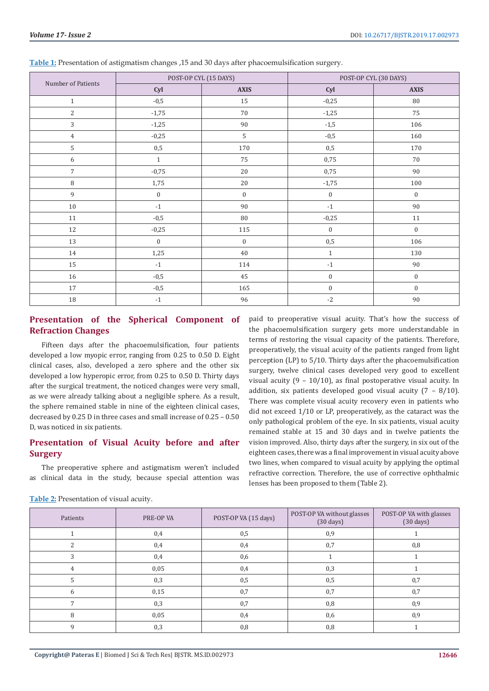| Number of Patients |                  | POST-OP CYL (15 DAYS) |                   | POST-OP CYL (30 DAYS) |
|--------------------|------------------|-----------------------|-------------------|-----------------------|
|                    | Cyl              | <b>AXIS</b>           | Cyl               | <b>AXIS</b>           |
| $\mathbf{1}$       | $-0,5$           | $15\,$                | $-0,25$           | 80                    |
| $\overline{2}$     | $-1,75$          | 70                    | $-1,25$           | 75                    |
| 3                  | $-1,25$          | 90                    | $-1,5$            | 106                   |
| $\overline{4}$     | $-0,25$          | 5                     | $-0,5$            | 160                   |
| 5                  | $0,\!5$          | 170                   | 0,5               | 170                   |
| 6                  | $1\,$            | 75                    | 0,75              | 70                    |
| $\overline{7}$     | $-0,75$          | 20                    | 0,75              | 90                    |
| 8                  | 1,75             | 20                    | $-1,75$           | 100                   |
| $\,9$              | $\boldsymbol{0}$ | $\boldsymbol{0}$      | $\boldsymbol{0}$  | $\boldsymbol{0}$      |
| $10\,$             | $-1$             | 90                    | $-1$              | 90                    |
| $11\,$             | $-0,5$           | 80                    | $-0,25$           | $11\,$                |
| $12\,$             | $-0,25$          | 115                   | $\boldsymbol{0}$  | $\mathbf{0}$          |
| 13                 | $\boldsymbol{0}$ | $\boldsymbol{0}$      | $0,\!5$           | 106                   |
| 14                 | 1,25             | 40                    | $\mathbf{1}$      | 130                   |
| 15                 | $-1$             | 114                   | $-1$              | 90                    |
| 16                 | $-0,5$           | 45                    | $\boldsymbol{0}$  | $\boldsymbol{0}$      |
| 17                 | $-0,5$           | 165                   | $\boldsymbol{0}$  | $\boldsymbol{0}$      |
| 18                 | $-1$             | 96                    | $\textnormal{-}2$ | 90                    |

**Table 1:** Presentation of astigmatism changes ,15 and 30 days after phacoemulsification surgery.

# **Presentation of the Spherical Component of Refraction Changes**

Fifteen days after the phacoemulsification, four patients developed a low myopic error, ranging from 0.25 to 0.50 D. Eight clinical cases, also, developed a zero sphere and the other six developed a low hyperopic error, from 0.25 to 0.50 D. Thirty days after the surgical treatment, the noticed changes were very small, as we were already talking about a negligible sphere. As a result, the sphere remained stable in nine of the eighteen clinical cases, decreased by 0.25 D in three cases and small increase of 0.25 – 0.50 D, was noticed in six patients.

# **Presentation of Visual Acuity before and after Surgery**

The preoperative sphere and astigmatism weren't included as clinical data in the study, because special attention was paid to preoperative visual acuity. That's how the success of the phacoemulsification surgery gets more understandable in terms of restoring the visual capacity of the patients. Therefore, preoperatively, the visual acuity of the patients ranged from light perception (LP) to 5/10. Thirty days after the phacoemulsification surgery, twelve clinical cases developed very good to excellent visual acuity  $(9 - 10/10)$ , as final postoperative visual acuity. In addition, six patients developed good visual acuity  $(7 - 8/10)$ . There was complete visual acuity recovery even in patients who did not exceed 1/10 or LP, preoperatively, as the cataract was the only pathological problem of the eye. In six patients, visual acuity remained stable at 15 and 30 days and in twelve patients the vision improved. Also, thirty days after the surgery, in six out of the eighteen cases, there was a final improvement in visual acuity above two lines, when compared to visual acuity by applying the optimal refractive correction. Therefore, the use of corrective ophthalmic lenses has been proposed to them (Table 2).

| Patients     | PRE-OP VA | POST-OP VA (15 days) | POST-OP VA without glasses<br>$(30 \text{ days})$ | POST-OP VA with glasses<br>$(30 \text{ days})$ |
|--------------|-----------|----------------------|---------------------------------------------------|------------------------------------------------|
|              | 0,4       | 0,5                  | 0,9                                               |                                                |
|              | 0,4       | 0,4                  | 0,7                                               | 0,8                                            |
| 3            | 0,4       | 0,6                  |                                                   |                                                |
| 4            | 0,05      | 0,4                  | 0,3                                               |                                                |
| 5            | 0,3       | 0,5                  | 0,5                                               | 0,7                                            |
| 6            | 0,15      | 0,7                  | 0,7                                               | 0,7                                            |
| 7            | 0,3       | 0,7                  | 0,8                                               | 0,9                                            |
| 8            | 0,05      | 0,4                  | 0,6                                               | 0,9                                            |
| $\mathbf{Q}$ | 0,3       | 0,8                  | 0,8                                               |                                                |

**Table 2:** Presentation of visual acuity.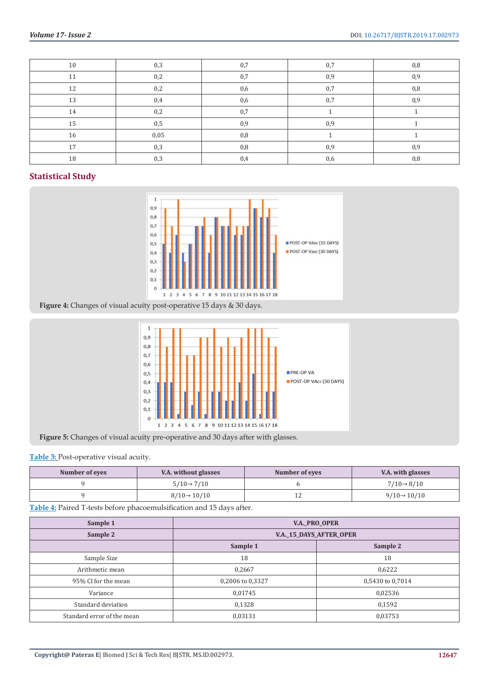| 10 | 0,3  | 0,7 | 0,7 | 0,8 |
|----|------|-----|-----|-----|
| 11 | 0,2  | 0,7 | 0,9 | 0,9 |
| 12 | 0,2  | 0,6 | 0,7 | 0,8 |
| 13 | 0,4  | 0,6 | 0,7 | 0,9 |
| 14 | 0,2  | 0,7 |     |     |
| 15 | 0,5  | 0,9 | 0,9 |     |
| 16 | 0,05 | 0,8 |     |     |
| 17 | 0,3  | 0,8 | 0,9 | 0,9 |
| 18 | 0,3  | 0,4 | 0,6 | 0,8 |

# **Statistical Study**



**Figure 4:** Changes of visual acuity post-operative 15 days & 30 days.



**Figure 5:** Changes of visual acuity pre-operative and 30 days after with glasses.

## **Table 3:** Post-operative visual acuity.

| Number of eyes | V.A. without glasses     | Number of eyes | V.A. with glasses        |
|----------------|--------------------------|----------------|--------------------------|
|                | $5/10 \rightarrow 7/10$  |                | $7/10 \rightarrow 8/10$  |
|                | $8/10 \rightarrow 10/10$ | ᆠ              | $9/10 \rightarrow 10/10$ |

**Table 4:** Paired T-tests before phacoemulsification and 15 days after.

| <b>V.A. PRO OPER</b>           |                  |  |
|--------------------------------|------------------|--|
| <b>V.A. 15 DAYS AFTER OPER</b> |                  |  |
| Sample 1                       | Sample 2         |  |
| 18                             | 18               |  |
| 0,2667                         | 0,6222           |  |
| 0,2006 to 0,3327               | 0,5430 to 0,7014 |  |
| 0,01745                        | 0,02536          |  |
| 0,1328                         | 0,1592           |  |
| 0,03131                        | 0,03753          |  |
|                                |                  |  |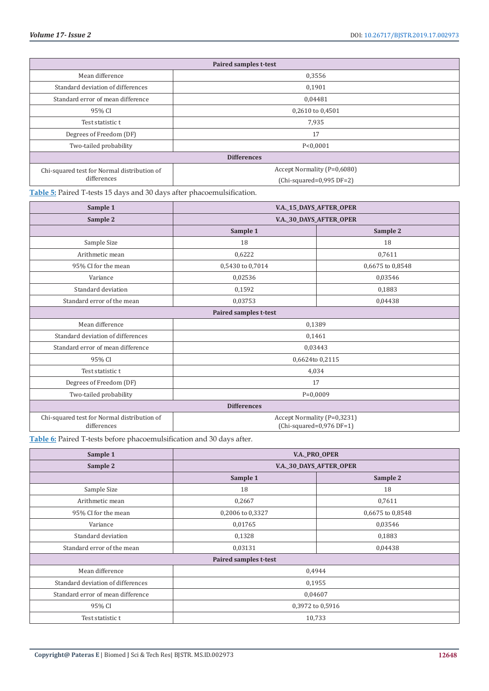| <b>Paired samples t-test</b>                |                             |  |
|---------------------------------------------|-----------------------------|--|
| Mean difference                             | 0,3556                      |  |
| Standard deviation of differences           | 0,1901                      |  |
| Standard error of mean difference           | 0,04481                     |  |
| 95% CI                                      | 0,2610 to 0,4501            |  |
| Test statistic t                            | 7,935                       |  |
| 17<br>Degrees of Freedom (DF)               |                             |  |
| Two-tailed probability                      | P < 0.0001                  |  |
| <b>Differences</b>                          |                             |  |
| Chi-squared test for Normal distribution of | Accept Normality (P=0,6080) |  |
| differences                                 | $(Chi-squared=0.995 DF=2)$  |  |

**Table 5:** Paired T-tests 15 days and 30 days after phacoemulsification.

| Sample 1                                                   | V.A. 15 DAYS AFTER OPER                                   |                  |  |  |
|------------------------------------------------------------|-----------------------------------------------------------|------------------|--|--|
| Sample 2                                                   | V.A._30_DAYS_AFTER_OPER                                   |                  |  |  |
|                                                            | Sample 1                                                  | Sample 2         |  |  |
| Sample Size                                                | 18                                                        | 18               |  |  |
| Arithmetic mean                                            | 0,6222                                                    | 0,7611           |  |  |
| 95% CI for the mean                                        | 0,5430 to 0,7014                                          | 0,6675 to 0,8548 |  |  |
| Variance                                                   | 0,02536                                                   | 0,03546          |  |  |
| Standard deviation                                         | 0,1592                                                    | 0,1883           |  |  |
| Standard error of the mean                                 | 0,03753                                                   | 0,04438          |  |  |
| Paired samples t-test                                      |                                                           |                  |  |  |
| Mean difference                                            | 0,1389                                                    |                  |  |  |
| Standard deviation of differences                          | 0,1461                                                    |                  |  |  |
| Standard error of mean difference                          | 0,03443                                                   |                  |  |  |
| 95% CI                                                     | 0,6624to 0,2115                                           |                  |  |  |
| Test statistic t                                           | 4,034                                                     |                  |  |  |
| Degrees of Freedom (DF)                                    | 17                                                        |                  |  |  |
| Two-tailed probability                                     | $P=0,0009$                                                |                  |  |  |
| <b>Differences</b>                                         |                                                           |                  |  |  |
| Chi-squared test for Normal distribution of<br>differences | Accept Normality (P=0,3231)<br>$(Chi-squared=0.976 DF=1)$ |                  |  |  |

**Table 6:** Paired T-tests before phacoemulsification and 30 days after.

| Sample 1                          | <b>V.A._PRO_OPER</b>    |                  |  |
|-----------------------------------|-------------------------|------------------|--|
| Sample 2                          | V.A._30_DAYS_AFTER_OPER |                  |  |
|                                   | Sample 1                | Sample 2         |  |
| Sample Size                       | 18                      | 18               |  |
| Arithmetic mean                   | 0,2667                  | 0,7611           |  |
| 95% CI for the mean               | 0,2006 to 0,3327        | 0,6675 to 0,8548 |  |
| Variance                          | 0,01765                 | 0,03546          |  |
| Standard deviation                | 0,1328                  | 0,1883           |  |
| Standard error of the mean        | 0,03131                 | 0,04438          |  |
| <b>Paired samples t-test</b>      |                         |                  |  |
| Mean difference                   | 0,4944                  |                  |  |
| Standard deviation of differences | 0,1955                  |                  |  |
| Standard error of mean difference | 0,04607                 |                  |  |
| 95% CI                            | 0,3972 to 0,5916        |                  |  |
| Test statistic t                  | 10,733                  |                  |  |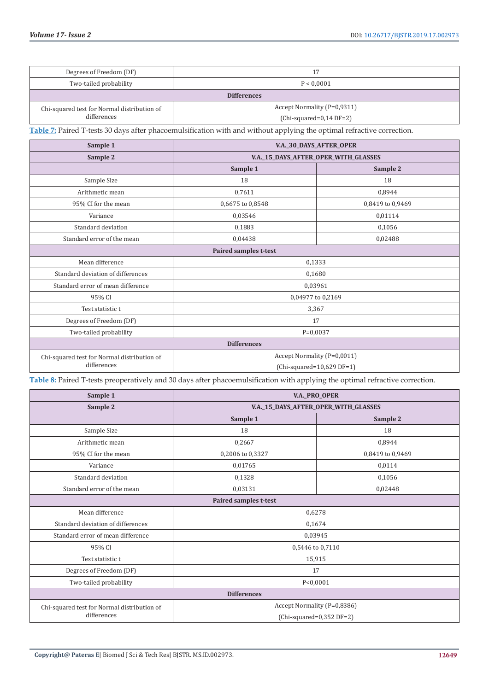| Degrees of Freedom (DF)                                                                                                | 17                                                      |                  |  |  |
|------------------------------------------------------------------------------------------------------------------------|---------------------------------------------------------|------------------|--|--|
| Two-tailed probability<br>P < 0,0001                                                                                   |                                                         |                  |  |  |
|                                                                                                                        | <b>Differences</b>                                      |                  |  |  |
| Chi-squared test for Normal distribution of<br>differences                                                             | Accept Normality (P=0,9311)<br>$(Chi-squared=0,14DF=2)$ |                  |  |  |
| Table 7: Paired T-tests 30 days after phacoemulsification with and without applying the optimal refractive correction. |                                                         |                  |  |  |
|                                                                                                                        |                                                         |                  |  |  |
| Sample 1                                                                                                               | V.A._30_DAYS_AFTER_OPER                                 |                  |  |  |
| Sample 2                                                                                                               | V.A._15_DAYS_AFTER_OPER_WITH_GLASSES<br>Sample 1        | Sample 2         |  |  |
| Sample Size                                                                                                            | 18                                                      | 18               |  |  |
| Arithmetic mean                                                                                                        | 0,7611                                                  | 0,8944           |  |  |
| 95% CI for the mean                                                                                                    | 0,6675 to 0,8548                                        | 0,8419 to 0,9469 |  |  |
| Variance                                                                                                               | 0,03546                                                 | 0,01114          |  |  |
| Standard deviation                                                                                                     | 0,1883                                                  | 0,1056           |  |  |
| Standard error of the mean                                                                                             | 0,04438                                                 | 0,02488          |  |  |
| Paired samples t-test                                                                                                  |                                                         |                  |  |  |
| Mean difference<br>0,1333                                                                                              |                                                         |                  |  |  |
| Standard deviation of differences                                                                                      | 0,1680                                                  |                  |  |  |
| Standard error of mean difference                                                                                      | 0,03961                                                 |                  |  |  |
| 95% CI                                                                                                                 | 0,04977 to 0,2169                                       |                  |  |  |
| Test statistic t                                                                                                       | 3,367                                                   |                  |  |  |
| Degrees of Freedom (DF)                                                                                                | 17                                                      |                  |  |  |
| Two-tailed probability                                                                                                 | $P=0,0037$                                              |                  |  |  |
| <b>Differences</b>                                                                                                     |                                                         |                  |  |  |
| Chi-squared test for Normal distribution of                                                                            | Accept Normality (P=0,0011)                             |                  |  |  |
| differences                                                                                                            | $(Chi-squared=10,629 DF=1)$                             |                  |  |  |

**Table 8:** Paired T-tests preoperatively and 30 days after phacoemulsification with applying the optimal refractive correction.

| Sample 1                                    | <b>V.A._PRO_OPER</b>                 |                  |  |  |
|---------------------------------------------|--------------------------------------|------------------|--|--|
| Sample 2                                    | V.A._15_DAYS_AFTER_OPER_WITH_GLASSES |                  |  |  |
|                                             | Sample 1                             | Sample 2         |  |  |
| Sample Size                                 | 18                                   | 18               |  |  |
| Arithmetic mean                             | 0,2667                               | 0,8944           |  |  |
| 95% CI for the mean                         | 0,2006 to 0,3327                     | 0,8419 to 0,9469 |  |  |
| Variance                                    | 0,01765                              | 0,0114           |  |  |
| Standard deviation                          | 0,1328                               | 0,1056           |  |  |
| Standard error of the mean                  | 0,03131                              | 0,02448          |  |  |
| Paired samples t-test                       |                                      |                  |  |  |
| Mean difference                             | 0,6278                               |                  |  |  |
| Standard deviation of differences           | 0,1674                               |                  |  |  |
| Standard error of mean difference           | 0,03945                              |                  |  |  |
| 95% CI                                      | 0,5446 to 0,7110                     |                  |  |  |
| Test statistic t                            | 15,915                               |                  |  |  |
| Degrees of Freedom (DF)                     | 17                                   |                  |  |  |
| Two-tailed probability                      | P < 0,0001                           |                  |  |  |
| <b>Differences</b>                          |                                      |                  |  |  |
| Chi-squared test for Normal distribution of | Accept Normality (P=0,8386)          |                  |  |  |
| differences                                 | $(Chi-squared=0,352 DF=2)$           |                  |  |  |